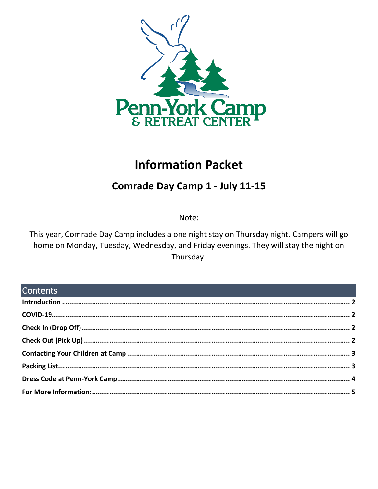

# **Information Packet**

## Comrade Day Camp 1 - July 11-15

Note:

This year, Comrade Day Camp includes a one night stay on Thursday night. Campers will go home on Monday, Tuesday, Wednesday, and Friday evenings. They will stay the night on Thursday.

## **Contents**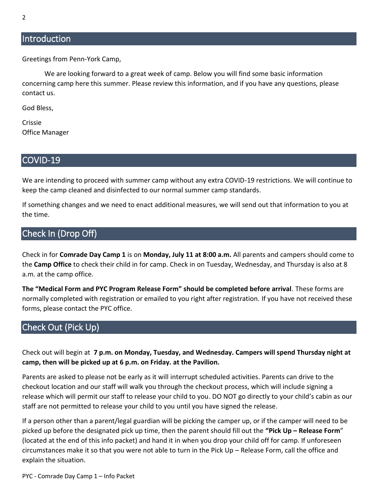#### <span id="page-1-0"></span>**Introduction**

Greetings from Penn-York Camp,

We are looking forward to a great week of camp. Below you will find some basic information concerning camp here this summer. Please review this information, and if you have any questions, please contact us.

God Bless,

Crissie Office Manager

#### <span id="page-1-1"></span>COVID-19

We are intending to proceed with summer camp without any extra COVID-19 restrictions. We will continue to keep the camp cleaned and disinfected to our normal summer camp standards.

If something changes and we need to enact additional measures, we will send out that information to you at the time.

#### <span id="page-1-2"></span>Check In (Drop Off)

Check in for **Comrade Day Camp 1** is on **Monday, July 11 at 8:00 a.m.** All parents and campers should come to the **Camp Office** to check their child in for camp. Check in on Tuesday, Wednesday, and Thursday is also at 8 a.m. at the camp office.

**The "Medical Form and PYC Program Release Form" should be completed before arrival**. These forms are normally completed with registration or emailed to you right after registration. If you have not received these forms, please contact the PYC office.

## <span id="page-1-3"></span>Check Out (Pick Up)

Check out will begin at **7 p.m. on Monday, Tuesday, and Wednesday. Campers will spend Thursday night at camp, then will be picked up at 6 p.m. on Friday. at the Pavilion.**

Parents are asked to please not be early as it will interrupt scheduled activities. Parents can drive to the checkout location and our staff will walk you through the checkout process, which will include signing a release which will permit our staff to release your child to you. DO NOT go directly to your child's cabin as our staff are not permitted to release your child to you until you have signed the release.

If a person other than a parent/legal guardian will be picking the camper up, or if the camper will need to be picked up before the designated pick up time, then the parent should fill out the **"Pick Up – Release Form**" (located at the end of this info packet) and hand it in when you drop your child off for camp. If unforeseen circumstances make it so that you were not able to turn in the Pick Up – Release Form, call the office and explain the situation.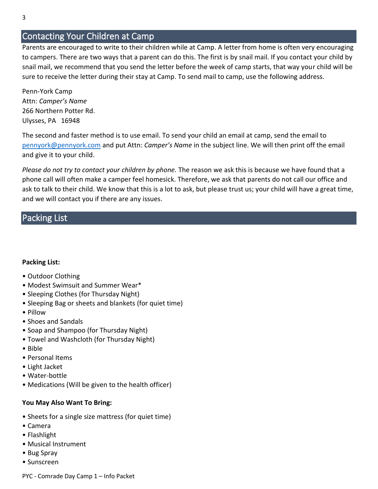### <span id="page-2-0"></span>Contacting Your Children at Camp

Parents are encouraged to write to their children while at Camp. A letter from home is often very encouraging to campers. There are two ways that a parent can do this. The first is by snail mail. If you contact your child by snail mail, we recommend that you send the letter before the week of camp starts, that way your child will be sure to receive the letter during their stay at Camp. To send mail to camp, use the following address.

Penn-York Camp Attn: *Camper's Name* 266 Northern Potter Rd. Ulysses, PA 16948

The second and faster method is to use email. To send your child an email at camp, send the email to [pennyork@pennyork.com](mailto:pennyork@pennyork.com) and put Attn: *Camper's Name* in the subject line. We will then print off the email and give it to your child.

*Please do not try to contact your children by phone.* The reason we ask this is because we have found that a phone call will often make a camper feel homesick. Therefore, we ask that parents do not call our office and ask to talk to their child. We know that this is a lot to ask, but please trust us; your child will have a great time, and we will contact you if there are any issues.

#### <span id="page-2-1"></span>Packing List

#### **Packing List:**

- Outdoor Clothing
- Modest Swimsuit and Summer Wear\*
- Sleeping Clothes (for Thursday Night)
- Sleeping Bag or sheets and blankets (for quiet time)
- Pillow
- Shoes and Sandals
- Soap and Shampoo (for Thursday Night)
- Towel and Washcloth (for Thursday Night)
- Bible
- Personal Items
- Light Jacket
- Water-bottle
- Medications (Will be given to the health officer)

#### **You May Also Want To Bring:**

- Sheets for a single size mattress (for quiet time)
- Camera
- Flashlight
- Musical Instrument
- Bug Spray
- Sunscreen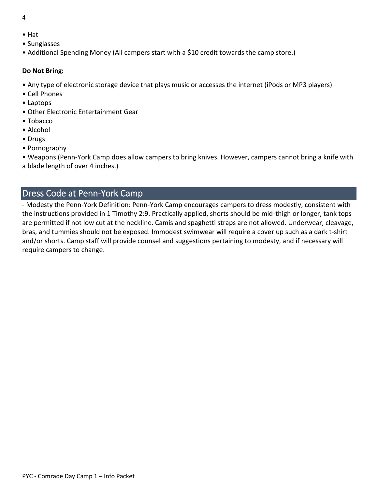- 4
- Hat
- Sunglasses
- Additional Spending Money (All campers start with a \$10 credit towards the camp store.)

#### **Do Not Bring:**

- Any type of electronic storage device that plays music or accesses the internet (iPods or MP3 players)
- Cell Phones
- Laptops
- Other Electronic Entertainment Gear
- Tobacco
- Alcohol
- Drugs
- Pornography

• Weapons (Penn-York Camp does allow campers to bring knives. However, campers cannot bring a knife with a blade length of over 4 inches.)

## <span id="page-3-0"></span>Dress Code at Penn-York Camp

- Modesty the Penn-York Definition: Penn-York Camp encourages campers to dress modestly, consistent with the instructions provided in 1 Timothy 2:9. Practically applied, shorts should be mid-thigh or longer, tank tops are permitted if not low cut at the neckline. Camis and spaghetti straps are not allowed. Underwear, cleavage, bras, and tummies should not be exposed. Immodest swimwear will require a cover up such as a dark t-shirt and/or shorts. Camp staff will provide counsel and suggestions pertaining to modesty, and if necessary will require campers to change.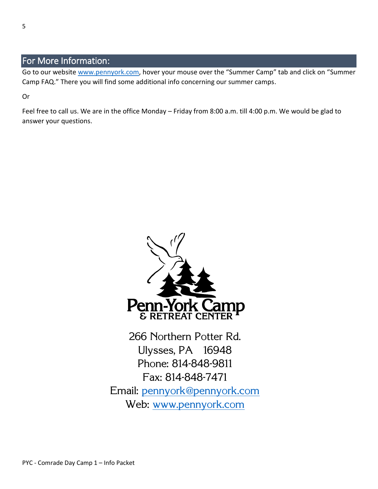## <span id="page-4-0"></span>For More Information:

Go to our website [www.pennyork.com,](http://www.pennyork.com/) hover your mouse over the "Summer Camp" tab and click on "Summer Camp FAQ." There you will find some additional info concerning our summer camps.

Or

Feel free to call us. We are in the office Monday – Friday from 8:00 a.m. till 4:00 p.m. We would be glad to answer your questions.